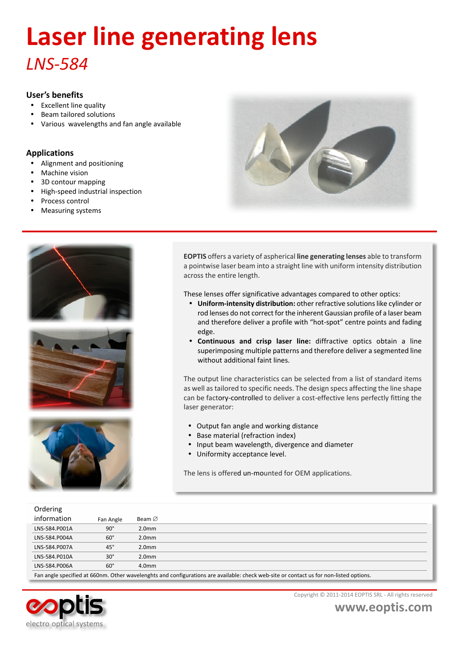# *LNS-584* **Laser line generating lens**

### **User's benefits**

- Excellent line quality
- Beam tailored solutions
- ü Various wavelengths and fan angle available

### **Applications**

- Alignment and positioning
- Machine vision
- 3D contour mapping
- High-speed industrial inspection
- Process control
- Measuring systems









**EOPTIS** offers a variety of aspherical **line generating lenses** able to transform a pointwise laser beam into a straight line with uniform intensity distribution across the entire length.

These lenses offer significative advantages compared to other optics:

- ü **Uniform-intensity distribution:** other refractive solutions like cylinder or rod lenses do not correct for the inherent Gaussian profile of a laser beam and therefore deliver a profile with "hot-spot" centre points and fading edge.
- ü **Continuous and crisp laser line:** diffractive optics obtain a line superimposing multiple patterns and therefore deliver a segmented line without additional faint lines.

The output line characteristics can be selected from a list of standard items as well as tailored to specific needs. The design specs affecting the line shape can be factory-controlled to deliver a cost-effective lens perfectly fitting the laser generator:

- Output fan angle and working distance
- Base material (refraction index)
- ü Input beam wavelength, divergence and diameter
- Uniformity acceptance level.

The lens is offered un-mounted for OEM applications.

| Ordering      |              |                                                                                                                                        |
|---------------|--------------|----------------------------------------------------------------------------------------------------------------------------------------|
| information   | Fan Angle    | Beam $\varnothing$                                                                                                                     |
| LNS-584.P001A | $90^\circ$   | 2.0 <sub>mm</sub>                                                                                                                      |
| LNS-584.P004A | $60^\circ$   | 2.0 <sub>mm</sub>                                                                                                                      |
| LNS-584.P007A | $45^{\circ}$ | 2.0 <sub>mm</sub>                                                                                                                      |
| LNS-584.P010A | $30^\circ$   | 2.0 <sub>mm</sub>                                                                                                                      |
| LNS-584.P006A | $60^\circ$   | 4.0 <sub>mm</sub>                                                                                                                      |
|               |              | Ean angle specified at EEOnm, Other wavelengths and configurations are available: sheek web site or sentast us for non-listed entians. |

Fan angle specified at 660nm. Other wavelenghts and configurations are available: check web-site or contact us for non-listed options.



Copyright © 2011-2014 EOPTIS SRL - All rights reserved